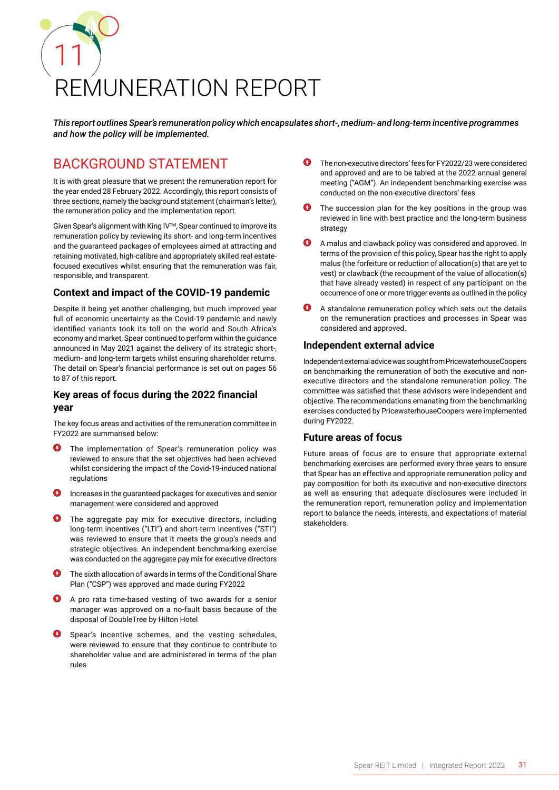# 11 REMUNERATION REPORT

*This report outlines Spear's remuneration policy which encapsulates short-, medium- and long-term incentive programmes and how the policy will be implemented.*

## BACKGROUND STATEMENT

It is with great pleasure that we present the remuneration report for the year ended 28 February 2022. Accordingly, this report consists of three sections, namely the background statement (chairman's letter), the remuneration policy and the implementation report.

Given Spear's alignment with King IVTM, Spear continued to improve its remuneration policy by reviewing its short- and long-term incentives and the guaranteed packages of employees aimed at attracting and retaining motivated, high-calibre and appropriately skilled real estatefocused executives whilst ensuring that the remuneration was fair, responsible, and transparent.

### **Context and impact of the COVID-19 pandemic**

Despite it being yet another challenging, but much improved year full of economic uncertainty as the Covid-19 pandemic and newly identified variants took its toll on the world and South Africa's economy and market, Spear continued to perform within the guidance announced in May 2021 against the delivery of its strategic short-, medium- and long-term targets whilst ensuring shareholder returns. The detail on Spear's financial performance is set out on pages 56 to 87 of this report.

### **Key areas of focus during the 2022 financial year**

The key focus areas and activities of the remuneration committee in FY2022 are summarised below:

- $\boldsymbol{\Omega}$ The implementation of Spear's remuneration policy was reviewed to ensure that the set objectives had been achieved whilst considering the impact of the Covid-19-induced national regulations
- Increases in the guaranteed packages for executives and senior management were considered and approved
- **O** The aggregate pay mix for executive directors, including long-term incentives ("LTI") and short-term incentives ("STI") was reviewed to ensure that it meets the group's needs and strategic objectives. An independent benchmarking exercise was conducted on the aggregate pay mix for executive directors
- The sixth allocation of awards in terms of the Conditional Share Plan ("CSP") was approved and made during FY2022
- A pro rata time-based vesting of two awards for a senior manager was approved on a no-fault basis because of the disposal of DoubleTree by Hilton Hotel
- Spear's incentive schemes, and the vesting schedules, were reviewed to ensure that they continue to contribute to shareholder value and are administered in terms of the plan rules
- The non-executive directors' fees for FY2022/23 were considered and approved and are to be tabled at the 2022 annual general meeting ("AGM"). An independent benchmarking exercise was conducted on the non-executive directors' fees
- The succession plan for the key positions in the group was reviewed in line with best practice and the long-term business strategy
- A malus and clawback policy was considered and approved. In terms of the provision of this policy, Spear has the right to apply malus (the forfeiture or reduction of allocation(s) that are yet to vest) or clawback (the recoupment of the value of allocation(s) that have already vested) in respect of any participant on the occurrence of one or more trigger events as outlined in the policy
- A standalone remuneration policy which sets out the details on the remuneration practices and processes in Spear was considered and approved.

### **Independent external advice**

Independent external advice was sought from PricewaterhouseCoopers on benchmarking the remuneration of both the executive and nonexecutive directors and the standalone remuneration policy. The committee was satisfied that these advisors were independent and objective. The recommendations emanating from the benchmarking exercises conducted by PricewaterhouseCoopers were implemented during FY2022.

### **Future areas of focus**

Future areas of focus are to ensure that appropriate external benchmarking exercises are performed every three years to ensure that Spear has an effective and appropriate remuneration policy and pay composition for both its executive and non-executive directors as well as ensuring that adequate disclosures were included in the remuneration report, remuneration policy and implementation report to balance the needs, interests, and expectations of material stakeholders.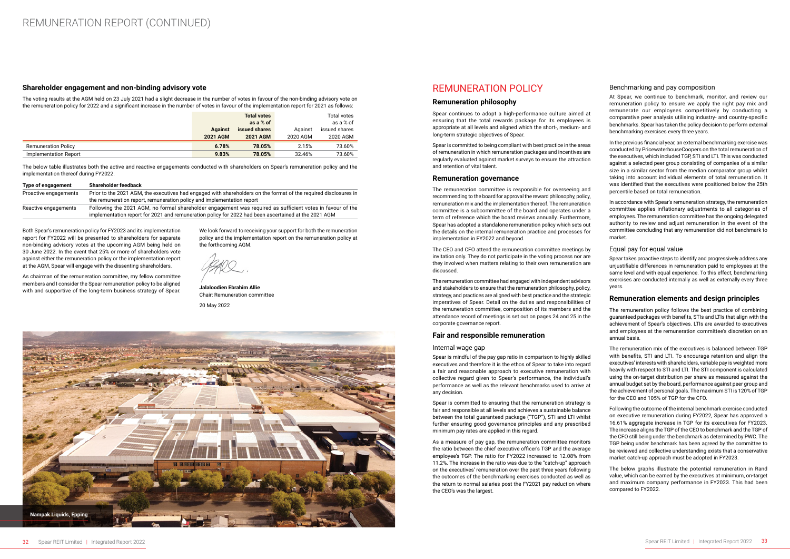### **Shareholder engagement and non-binding advisory vote**

The voting results at the AGM held on 23 July 2021 had a slight decrease in the number of votes in favour of the non-binding advisory vote on the remuneration policy for 2022 and a significant increase in the number of votes in favour of the implementation report for 2021 as follows:

|                            | <b>Total votes</b><br>as a % of   |                                  | <b>Total votes</b><br>as a % of |                           |
|----------------------------|-----------------------------------|----------------------------------|---------------------------------|---------------------------|
|                            | <b>Against</b><br><b>2021 AGM</b> | issued shares<br><b>2021 AGM</b> | Against<br>2020 AGM             | issued shares<br>2020 AGM |
| <b>Remuneration Policy</b> | 6.78%                             | 78.05%                           | 2.15%                           | 73.60%                    |
| Implementation Report      | 9.83%                             | 78.05%                           | 32.46%                          | 73.60%                    |

The below table illustrates both the active and reactive engagements conducted with shareholders on Spear's remuneration policy and the implementation thereof during FY2022.

| Type of engagement    | Shareholder feedback                                                                                             |
|-----------------------|------------------------------------------------------------------------------------------------------------------|
| Proactive engagements | Prior to the 2021 AGM, the executives had engaged with shareholders on the format of the reguired disclosures in |
|                       | the remuneration report, remuneration policy and implementation report                                           |
| Reactive engagements  | Following the 2021 AGM, no formal shareholder engagement was required as sufficient votes in favour of the       |
|                       | implementation report for 2021 and remuneration policy for 2022 had been ascertained at the 2021 AGM             |

Both Spear's remuneration policy for FY2023 and its implementation report for FY2022 will be presented to shareholders for separate non-binding advisory votes at the upcoming AGM being held on 30 June 2022. In the event that 25% or more of shareholders vote against either the remuneration policy or the implementation report at the AGM, Spear will engage with the dissenting shareholders.

As chairman of the remuneration committee, my fellow committee members and I consider the Spear remuneration policy to be aligned with and supportive of the long-term business strategy of Spear.

We look forward to receiving your support for both the remuneration policy and the implementation report on the remuneration policy at the forthcoming AGM.

**Jalaloodien Ebrahim Allie** Chair: Remuneration committee

20 May 2022

### REMUNERATION POLICY

### **Remuneration philosophy**

Spear continues to adopt a high-performance culture aimed at ensuring that the total rewards package for its employees is appropriate at all levels and aligned which the short-, medium- and long-term strategic objectives of Spear.

Spear is committed to being compliant with best practice in the areas of remuneration in which remuneration packages and incentives are regularly evaluated against market surveys to ensure the attraction and retention of vital talent.

### **Remuneration governance**

The remuneration committee is responsible for overseeing and recommending to the board for approval the reward philosophy, policy, remuneration mix and the implementation thereof. The remuneration committee is a subcommittee of the board and operates under a term of reference which the board reviews annually. Furthermore, Spear has adopted a standalone remuneration policy which sets out the details on the internal remuneration practice and processes for implementation in FY2022 and beyond.

The CEO and CFO attend the remuneration committee meetings by invitation only. They do not participate in the voting process nor are they involved when matters relating to their own remuneration are discussed.

The remuneration committee had engaged with independent advisors and stakeholders to ensure that the remuneration philosophy, policy, strategy, and practices are aligned with best practice and the strategic imperatives of Spear. Detail on the duties and responsibilities of the remuneration committee, composition of its members and the attendance record of meetings is set out on pages 24 and 25 in the corporate governance report.

### **Fair and responsible remuneration**

### Internal wage gap

Spear is mindful of the pay gap ratio in comparison to highly skilled executives and therefore it is the ethos of Spear to take into regard a fair and reasonable approach to executive remuneration with collective regard given to Spear's performance, the individual's performance as well as the relevant benchmarks used to arrive at any decision.

Spear is committed to ensuring that the remuneration strategy is fair and responsible at all levels and achieves a sustainable balance between the total guaranteed package ("TGP"), STI and LTI whilst further ensuring good governance principles and any prescribed minimum pay rates are applied in this regard.

As a measure of pay gap, the remuneration committee monitors the ratio between the chief executive officer's TGP and the average employee's TGP. The ratio for FY2022 increased to 12.08% from 11.2%. The increase in the ratio was due to the "catch-up" approach on the executives' remuneration over the past three years following the outcomes of the benchmarking exercises conducted as well as the return to normal salaries post the FY2021 pay reduction where the CEO's was the largest.

### Benchmarking and pay composition

At Spear, we continue to benchmark, monitor, and review our remuneration policy to ensure we apply the right pay mix and remunerate our employees competitively by conducting a comparative peer analysis utilising industry- and country-specific benchmarks. Spear has taken the policy decision to perform external benchmarking exercises every three years.

In the previous financial year, an external benchmarking exercise was conducted by PricewaterhouseCoopers on the total remuneration of the executives, which included TGP, STI and LTI. This was conducted against a selected peer group consisting of companies of a similar size in a similar sector from the median comparator group whilst taking into account individual elements of total remuneration. It was identified that the executives were positioned below the 25th percentile based on total remuneration.

In accordance with Spear's remuneration strategy, the remuneration committee applies inflationary adjustments to all categories of employees. The remuneration committee has the ongoing delegated authority to review and adjust remuneration in the event of the committee concluding that any remuneration did not benchmark to market.

### Equal pay for equal value

Spear takes proactive steps to identify and progressively address any unjustifiable differences in remuneration paid to employees at the same level and with equal experience. To this effect, benchmarking exercises are conducted internally as well as externally every three years.

### **Remuneration elements and design principles**

The remuneration policy follows the best practice of combining guaranteed packages with benefits, STIs and LTIs that align with the achievement of Spear's objectives. LTIs are awarded to executives and employees at the remuneration committee's discretion on an annual basis.

The remuneration mix of the executives is balanced between TGP with benefits, STI and LTI. To encourage retention and align the executives' interests with shareholders, variable pay is weighted more heavily with respect to STI and LTI. The STI component is calculated using the on-target distribution per share as measured against the annual budget set by the board, performance against peer group and the achievement of personal goals. The maximum STI is 120% of TGP for the CEO and 105% of TGP for the CFO.

Following the outcome of the internal benchmark exercise conducted on executive remuneration during FY2022, Spear has approved a 16.61% aggregate increase in TGP for its executives for FY2023. The increase aligns the TGP of the CEO to benchmark and the TGP of the CFO still being under the benchmark as determined by PWC. The TGP being under benchmark has been agreed by the committee to be reviewed and collective understanding exists that a conservative market catch-up approach must be adopted in FY2023.

The below graphs illustrate the potential remuneration in Rand value, which can be earned by the executives at minimum, on-target and maximum company performance in FY2023. This had been compared to FY2022.

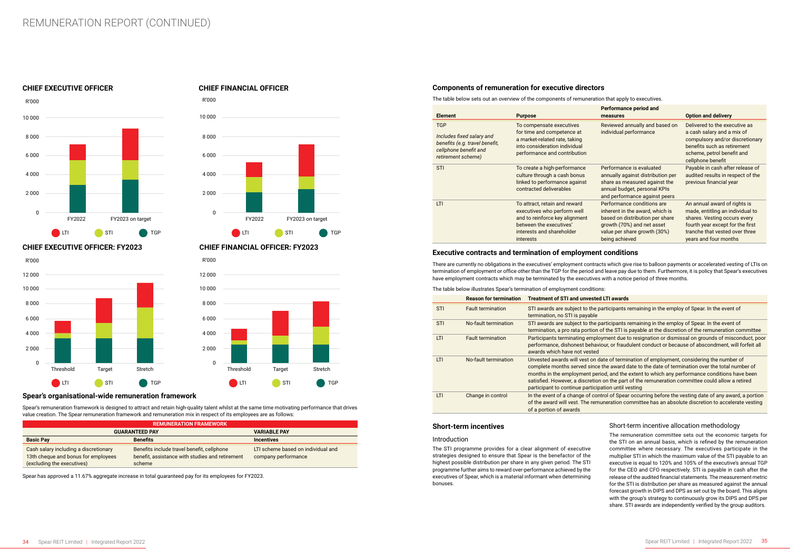### **Spear's organisational-wide remuneration framework**

Spear's remuneration framework is designed to attract and retain high-quality talent whilst at the same time motivating performance that drives value creation. The Spear remuneration framework and remuneration mix in respect of its employees are as follows:

| <b>REMUNERATION FRAMEWORK</b>                                                                              |                                                                                                         |                                                           |  |  |  |
|------------------------------------------------------------------------------------------------------------|---------------------------------------------------------------------------------------------------------|-----------------------------------------------------------|--|--|--|
| <b>GUARANTEED PAY</b><br><b>VARIABLE PAY</b>                                                               |                                                                                                         |                                                           |  |  |  |
| <b>Basic Pay</b>                                                                                           | <b>Benefits</b>                                                                                         | <b>Incentives</b>                                         |  |  |  |
| Cash salary including a discretionary<br>13th cheque and bonus for employees<br>(excluding the executives) | Benefits include travel benefit, cellphone<br>benefit, assistance with studies and retirement<br>scheme | LTI scheme based on individual and<br>company performance |  |  |  |

Spear has approved a 11.67% aggregate increase in total guaranteed pay for its employees for FY2023.

### **CHIEF FINANCIAL OFFICER**

### **CHIEF EXECUTIVE OFFICER: FY2023**

### **CHIEF EXECUTIVE OFFICER**

### **CHIEF FINANCIAL OFFICER: FY2023**









### **Components of remuneration for executive directors**

The table below sets out an overview of the components of remuneration that apply to executives.

| <b>Element</b>                                                                                                           | <b>Purpose</b>                                                                                                                                                             | <b>Performance period and</b><br>measures                                                                                                                                        | <b>Option and delivery</b>                                                                                                                                                                      |
|--------------------------------------------------------------------------------------------------------------------------|----------------------------------------------------------------------------------------------------------------------------------------------------------------------------|----------------------------------------------------------------------------------------------------------------------------------------------------------------------------------|-------------------------------------------------------------------------------------------------------------------------------------------------------------------------------------------------|
| <b>TGP</b><br>Includes fixed salary and<br>benefits (e.g. travel benefit,<br>cellphone benefit and<br>retirement scheme) | To compensate executives<br>for time and competence at<br>a market-related rate, taking<br>into consideration individual<br>performance and contribution                   | Reviewed annually and based on<br>individual performance                                                                                                                         | Delivered to the executive as<br>a cash salary and a mix of<br>compulsory and/or discretionary<br>benefits such as retirement<br>scheme, petrol benefit and<br>cellphone benefit                |
| <b>STI</b>                                                                                                               | To create a high-performance<br>culture through a cash bonus<br>linked to performance against<br>contracted deliverables                                                   | Performance is evaluated<br>annually against distribution per<br>share as measured against the<br>annual budget, personal KPIs<br>and performance against peers                  | Payable in cash after release of<br>audited results in respect of the<br>previous financial year                                                                                                |
| LTI                                                                                                                      | To attract, retain and reward<br>executives who perform well<br>and to reinforce key alignment<br>between the executives'<br>interests and shareholder<br><i>interests</i> | Performance conditions are<br>inherent in the award, which is<br>based on distribution per share<br>growth (70%) and net asset<br>value per share growth (30%)<br>being achieved | An annual award of rights is<br>made, entitling an individual to<br>shares. Vesting occurs every<br>fourth year except for the first<br>tranche that vested over three<br>years and four months |

### **Executive contracts and termination of employment conditions**

There are currently no obligations in the executives' employment contracts which give rise to balloon payments or accelerated vesting of LTIs on termination of employment or office other than the TGP for the period and leave pay due to them. Furthermore, it is policy that Spear's executives have employment contracts which may be terminated by the executives with a notice period of three months.

### The table below illustrates Spear's termination of employment conditions:

|            | <b>Reason for termination</b> | <b>Treatment of STI and unveste</b>                                                                                                                                |
|------------|-------------------------------|--------------------------------------------------------------------------------------------------------------------------------------------------------------------|
| <b>STI</b> | <b>Fault termination</b>      | STI awards are subject to the<br>termination, no STI is payable                                                                                                    |
| <b>STI</b> | No-fault termination          | STI awards are subject to the<br>termination, a pro rata portion                                                                                                   |
| LTI        | <b>Fault termination</b>      | Participants terminating emple<br>performance, dishonest behav<br>awards which have not vested                                                                     |
| LTI        | No-fault termination          | Unvested awards will vest on<br>complete months served since<br>months in the employment pe<br>satisfied. However, a discretio<br>participant to continue particip |
| LTI        | Change in control             | In the event of a change of cor<br>of the award will vest. The rem<br>of a portion of awards                                                                       |

### **Short-term incentives**

### Introduction

The STI programme provides for a clear alignment of executive strategies designed to ensure that Spear is the benefactor of the highest possible distribution per share in any given period. The STI programme further aims to reward over-performance achieved by the executives of Spear, which is a material informant when determining bonuses.

### **Red LTI awards**

participants remaining in the employ of Spear. In the event of

participants remaining in the employ of Spear. In the event of

n of the STI is payable at the discretion of the remuneration committee **Dioyment due to resignation or dismissal on grounds of misconduct, poor** aviour, or fraudulent conduct or because of abscondment, will forfeit all

date of termination of employment, considering the number of ice the award date to the date of termination over the total number of period, and the extent to which any performance conditions have been ion on the part of the remuneration committee could allow a retired cipation until vesting

control of Spear occurring before the vesting date of any award, a portion muneration committee has an absolute discretion to accelerate vesting

### Short-term incentive allocation methodology

The remuneration committee sets out the economic targets for the STI on an annual basis, which is refined by the remuneration committee where necessary. The executives participate in the multiplier STI in which the maximum value of the STI payable to an executive is equal to 120% and 105% of the executive's annual TGP for the CEO and CFO respectively. STI is payable in cash after the release of the audited financial statements. The measurement metric for the STI is distribution per share as measured against the annual forecast growth in DIPS and DPS as set out by the board. This aligns with the group's strategy to continuously grow its DIPS and DPS per share. STI awards are independently verified by the group auditors.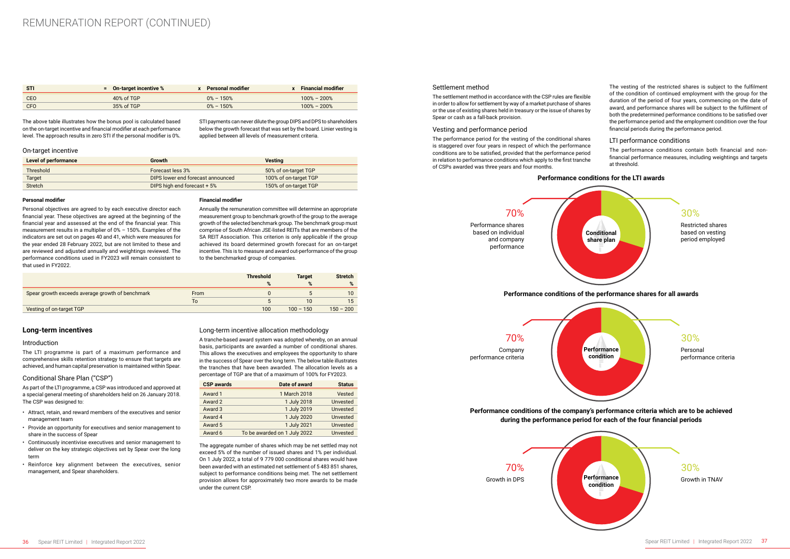| - STI      | $\epsilon$ = 0n-target incentive % | x Personal modifier | <b>Financial modifier</b> |
|------------|------------------------------------|---------------------|---------------------------|
| <b>CEO</b> | 40% of TGP                         | $0\% - 150\%$       | $100\% - 200\%$           |
| CFO        | 35% of TGP                         | $0\% - 150\%$       | $100\% - 200\%$           |

The above table illustrates how the bonus pool is calculated based on the on-target incentive and financial modifier at each performance level. The approach results in zero STI if the personal modifier is 0%.

STI payments can never dilute the group DIPS and DPS to shareholders below the growth forecast that was set by the board. Linier vesting is applied between all levels of measurement criteria.

### On-target incentive

| Level of performance | <b>Growth</b>                      | <b>Vesting</b>        |
|----------------------|------------------------------------|-----------------------|
| Threshold            | Forecast less 3%                   | 50% of on-target TGP  |
| <b>Target</b>        | DIPS lower end forecast announced  | 100% of on-target TGP |
| <b>Stretch</b>       | <b>DIPS high end forecast + 5%</b> | 150% of on-target TGP |

### **Personal modifier**

Personal objectives are agreed to by each executive director each financial year. These objectives are agreed at the beginning of the financial year and assessed at the end of the financial year. This measurement results in a multiplier of 0% – 150%. Examples of the indicators are set out on pages 40 and 41, which were measures for the year ended 28 February 2022, but are not limited to these and are reviewed and adjusted annually and weightings reviewed. The performance conditions used in FY2023 will remain consistent to that used in FY2022.

### **Financial modifier**

Annually the remuneration committee will determine an appropriate measurement group to benchmark growth of the group to the average growth of the selected benchmark group. The benchmark group must comprise of South African JSE-listed REITs that are members of the SA REIT Association. This criterion is only applicable if the group achieved its board determined growth forecast for an on-target incentive. This is to measure and award out-performance of the group to the benchmarked group of companies.

|                                                  |      | <b>Threshold</b> | <b>Target</b> | <b>Stretch</b> |  |
|--------------------------------------------------|------|------------------|---------------|----------------|--|
|                                                  |      | %                | %             | %              |  |
| Spear growth exceeds average growth of benchmark | From |                  |               | 10             |  |
|                                                  | To   |                  | 10            | 15             |  |
| Vesting of on-target TGP                         |      | 100              | $100 - 150$   | $150 - 200$    |  |

### **Long-term incentives**

### Introduction

The LTI programme is part of a maximum performance and comprehensive skills retention strategy to ensure that targets are achieved, and human capital preservation is maintained within Spear.

### Conditional Share Plan ("CSP")

As part of the LTI programme, a CSP was introduced and approved at a special general meeting of shareholders held on 26 January 2018. The CSP was designed to:

- Attract, retain, and reward members of the executives and senior management team
- Provide an opportunity for executives and senior management to share in the success of Spear
- Continuously incentivise executives and senior management to deliver on the key strategic objectives set by Spear over the long term
- Reinforce key alignment between the executives, senior management, and Spear shareholders.

### Long-term incentive allocation methodology

A tranche-based award system was adopted whereby, on an annual basis, participants are awarded a number of conditional shares. This allows the executives and employees the opportunity to share in the success of Spear over the long term. The below table illustrates the tranches that have been awarded. The allocation levels as a percentage of TGP are that of a maximum of 100% for FY2023.

| <b>CSP awards</b> | Date of award                | <b>Status</b> |
|-------------------|------------------------------|---------------|
| Award 1           | 1 March 2018                 | Vested        |
| Award 2           | 1 July 2018                  | Unvested      |
| Award 3           | 1 July 2019                  | Unvested      |
| Award 4           | 1 July 2020                  | Unvested      |
| Award 5           | 1 July 2021                  | Unvested      |
| Award 6           | To be awarded on 1 July 2022 | Unvested      |

The aggregate number of shares which may be net settled may not exceed 5% of the number of issued shares and 1% per individual. On 1 July 2022, a total of 9 779 000 conditional shares would have been awarded with an estimated net settlement of 5 483 851 shares, subject to performance conditions being met. The net settlement provision allows for approximately two more awards to be made under the current CSP.

### Settlement method

The settlement method in accordance with the CSP rules are flexible in order to allow for settlement by way of a market purchase of shares or the use of existing shares held in treasury or the issue of shares by Spear or cash as a fall-back provision.

### Vesting and performance period

The performance period for the vesting of the conditional shares is staggered over four years in respect of which the performance conditions are to be satisfied, provided that the performance period in relation to performance conditions which apply to the first tranche of CSPs awarded was three years and four months.

The vesting of the restricted shares is subject to the fulfilment of the condition of continued employment with the group for the duration of the period of four years, commencing on the date of award, and performance shares will be subject to the fulfilment of both the predetermined performance conditions to be satisfied over the performance period and the employment condition over the four financial periods during the performance period.

### LTI performance conditions

The performance conditions contain both financial and nonfinancial performance measures, including weightings and targets at threshold.

performance criteria



### **Performance conditions for the LTI awards**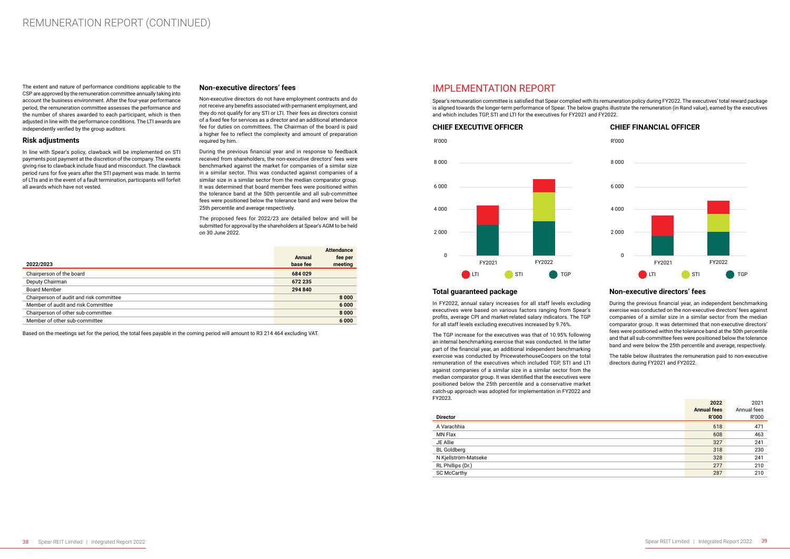The extent and nature of performance conditions applicable to the CSP are approved by the remuneration committee annually taking into account the business environment. After the four-year performance period, the remuneration committee assesses the performance and the number of shares awarded to each participant, which is then adjusted in line with the performance conditions. The LTI awards are independently verified by the group auditors.

### **Risk adjustments**

In line with Spear's policy, clawback will be implemented on STI payments post payment at the discretion of the company. The events giving rise to clawback include fraud and misconduct. The clawback period runs for five years after the STI payment was made. In terms of LTIs and in the event of a fault termination, participants will forfeit all awards which have not vested.

### **Non-executive directors' fees**

Non-executive directors do not have employment contracts and do not receive any benefits associated with permanent employment, and they do not qualify for any STI or LTI. Their fees as directors consist of a fixed fee for services as a director and an additional attendance fee for duties on committees. The Chairman of the board is paid a higher fee to reflect the complexity and amount of preparation required by him.

During the previous financial year and in response to feedback received from shareholders, the non-executive directors' fees were benchmarked against the market for companies of a similar size in a similar sector. This was conducted against companies of a similar size in a similar sector from the median comparator group. It was determined that board member fees were positioned within the tolerance band at the 50th percentile and all sub-committee fees were positioned below the tolerance band and were below the 25th percentile and average respectively.

The proposed fees for 2022/23 are detailed below and will be submitted for approval by the shareholders at Spear's AGM to be held on 30 June 2022.

| 2022/2023                               | Annual<br>base fee | <b>Attendance</b><br>fee per<br>meeting |
|-----------------------------------------|--------------------|-----------------------------------------|
| Chairperson of the board                | 684 029            |                                         |
| Deputy Chairman                         | 672 235            |                                         |
| <b>Board Member</b>                     | 294 840            |                                         |
| Chairperson of audit and risk committee |                    | 8000                                    |
| Member of audit and risk Committee      |                    | 6 0 0 0                                 |
| Chairperson of other sub-committee      |                    | 8000                                    |
| Member of other sub-committee           |                    | 6000                                    |

Based on the meetings set for the period, the total fees payable in the coming period will amount to R3 214 464 excluding VAT.

### IMPLEMENTATION REPORT

Spear's remuneration committee is satisfied that Spear complied with its remuneration policy during FY2022. The executives' total reward package is aligned towards the longer-term performance of Spear. The below graphs illustrate the remuneration (in Rand value), earned by the executives and which includes TGP, STI and LTI for the executives for FY2021 and FY2022.

### **Total guaranteed package**

In FY2022, annual salary increases for all staff levels excluding executives were based on various factors ranging from Spear's profits, average CPI and market-related salary indicators. The TGP for all staff levels excluding executives increased by 9.76%.

The TGP increase for the executives was that of 10.95% following an internal benchmarking exercise that was conducted. In the latter part of the financial year, an additional independent benchmarking exercise was conducted by PricewaterhouseCoopers on the total remuneration of the executives which included TGP, STI and LTI against companies of a similar size in a similar sector from the median comparator group. It was identified that the executives were positioned below the 25th percentile and a conservative market catch-up approach was adopted for implementation in FY2022 and FY2023.

### **Non-executive directors' fees**

During the previous financial year, an independent benchmarking exercise was conducted on the non-executive directors' fees against companies of a similar size in a similar sector from the median comparator group. It was determined that non-executive directors' fees were positioned within the tolerance band at the 50th percentile and that all sub-committee fees were positioned below the tolerance band and were below the 25th percentile and average, respectively.

The table below illustrates the remuneration paid to non-executive directors during FY2021 and FY2022.

| FYZUZ3.<br><b>Director</b> | 2022<br><b>Annual fees</b><br><b>R'000</b> | 2021<br>Annual fees<br>R'000 |
|----------------------------|--------------------------------------------|------------------------------|
| A Varachhia                | 618                                        | 471                          |
| <b>MN Flax</b>             | 608                                        | 463                          |
| JE Allie                   | 327                                        | 241                          |
| <b>BL Goldberg</b>         | 318                                        | 230                          |
| N Kjellström-Matseke       | 328                                        | 241                          |
| RL Phillips (Dr.)          | 277                                        | 210                          |
| <b>SC McCarthy</b>         | 287                                        | 210                          |

### **CHIEF EXECUTIVE OFFICER CHIEF FINANCIAL OFFICER**



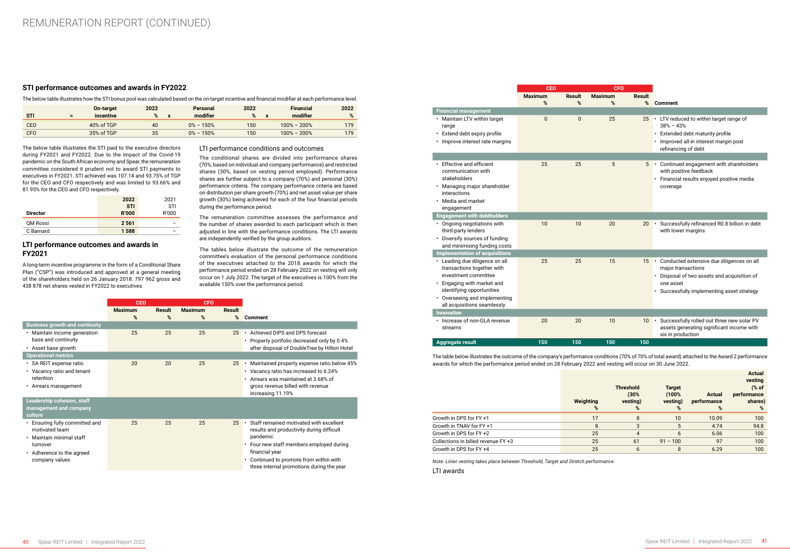### **STI performance outcomes and awards in FY2022**

The below table illustrates how the STI bonus pool was calculated based on the on-target incentive and financial modifier at each performance level.

|            |     | <b>On-target</b> | 2022 | Personal      | 2022             | <b>Financial</b> | 2022 |
|------------|-----|------------------|------|---------------|------------------|------------------|------|
| <b>STI</b> | $=$ | incentive        | %    | modifier      | %                | modifier         | %    |
| <b>CEO</b> |     | 40% of TGP       | 40   | $0\% - 150\%$ | 150 <sup>°</sup> | $100\% - 200\%$  | 179  |
| <b>CFO</b> |     | 35% of TGP       | 35   | $0\% - 150\%$ | 150              | $100\% - 200\%$  | 179  |

The below table illustrates the STI paid to the executive directors during FY2021 and FY2022. Due to the impact of the Covid-19 pandemic on the South African economy and Spear, the remuneration committee considered it prudent not to award STI payments to executives in FY2021. STI achieved was 107.14 and 93.75% of TGP for the CEO and CFO respectively and was limited to 93.66% and 81.95% for the CEO and CFO respectively.

|                 | 2022         | 2021  |
|-----------------|--------------|-------|
|                 | <b>STI</b>   | STI   |
| <b>Director</b> | <b>R'000</b> | R'000 |
| QM Rossi        | 2 5 6 1      | -     |
| C Barnard       | 1588         |       |

### **LTI performance outcomes and awards in FY2021**

A long-term incentive programme in the form of a Conditional Share Plan ("CSP") was introduced and approved at a general meeting of the shareholders held on 26 January 2018. 797 962 gross and 438 878 net shares vested in FY2022 to executives.

### LTI performance conditions and outcomes

The conditional shares are divided into performance shares (70%, based on individual and company performance) and restricted shares (30%, based on vesting period employed). Performance shares are further subject to a company (70%) and personal (30%) performance criteria. The company performance criteria are based on distribution per share growth (70%) and net asset value per share growth (30%) being achieved for each of the four financial periods during the performance period.

The remuneration committee assesses the performance and the number of shares awarded to each participant which is then adjusted in line with the performance conditions. The LTI awards are independently verified by the group auditors.

The tables below illustrate the outcome of the remuneration committee's evaluation of the personal performance conditions of the executives attached to the 2018 awards for which the performance period ended on 28 February 2022 on vesting will only occur on 1 July 2022. The target of the executives is 100% from the available 150% over the performance period.

|                                       | <b>CFO</b><br><b>CEO</b> |        |                |        |                                              |
|---------------------------------------|--------------------------|--------|----------------|--------|----------------------------------------------|
|                                       | <b>Maximum</b>           | Result | <b>Maximum</b> | Result |                                              |
|                                       | %                        | %      | %              | %      | <b>Comment</b>                               |
| <b>Business growth and continuity</b> |                          |        |                |        |                                              |
| • Maintain income generation          | 25                       | 25     | 25             | 25     | Achieved DIPS and DPS forecast<br>$\bullet$  |
| base and continuity                   |                          |        |                |        | • Property portfolio decreased only by 0.4%  |
| • Asset base growth                   |                          |        |                |        | after disposal of DoubleTree by Hilton Hotel |
| <b>Operational metrics</b>            |                          |        |                |        |                                              |
| · SA REIT expense ratio               | 20                       | 20     | 25             | 25     | Maintained property expense ratio below 45%  |
| • Vacancy ratio and tenant            |                          |        |                |        | • Vacancy ratio has increased to 6.24%       |
| retention                             |                          |        |                |        | Arrears was maintained at 3.68% of           |
| • Arrears management                  |                          |        |                |        | gross revenue billed with revenue            |
|                                       |                          |        |                |        | increasing 11.19%                            |
| Leadership cohesion, staff            |                          |        |                |        |                                              |
| management and company                |                          |        |                |        |                                              |
| culture                               |                          |        |                |        |                                              |
| • Ensuring fully committed and        | 25                       | 25     | 25             | 25     | Staff remained motivated with excellent      |
| motivated team                        |                          |        |                |        | results and productivity during difficult    |
| • Maintain minimal staff              |                          |        |                |        | pandemic                                     |
| turnover                              |                          |        |                |        | • Four new staff members employed during     |
| • Adherence to the agreed             |                          |        |                |        | financial year                               |
| company values                        |                          |        |                |        | • Continued to promote from within with      |
|                                       |                          |        |                |        | three internal promotions during the year    |

|                                                                                                 | <b>CEO</b>     |          | <b>CFO</b>     |               |                                                                                                                              |
|-------------------------------------------------------------------------------------------------|----------------|----------|----------------|---------------|------------------------------------------------------------------------------------------------------------------------------|
|                                                                                                 | <b>Maximum</b> | Result   | <b>Maximum</b> | <b>Result</b> |                                                                                                                              |
|                                                                                                 | %              | %        | %              | %             | <b>Comment</b>                                                                                                               |
| <b>Financial management</b>                                                                     |                |          |                |               |                                                                                                                              |
| • Maintain LTV within target<br>range                                                           | $\Omega$       | $\Omega$ | 25             | 25            | • LTV reduced to within target range of<br>$38\% - 43\%$                                                                     |
| • Extend debt expiry profile                                                                    |                |          |                |               | Extended debt maturity profile<br>$\bullet$                                                                                  |
| • Improve interest rate margins                                                                 |                |          |                |               | · Improved all-in interest margin post<br>refinancing of debt                                                                |
|                                                                                                 |                |          |                |               |                                                                                                                              |
| • Effective and efficient<br>communication with<br>stakeholders<br>• Managing major shareholder | 25             | 25       | 5              | 5             | • Continued engagement with shareholders<br>with positive feedback<br>· Financial results enjoyed positive media<br>coverage |
| interactions                                                                                    |                |          |                |               |                                                                                                                              |
| • Media and market<br>engagement                                                                |                |          |                |               |                                                                                                                              |
| <b>Engagement with debtholders</b>                                                              |                |          |                |               |                                                                                                                              |
| • Ongoing negotiations with<br>third-party lenders                                              | 10             | 10       | 20             | 20            | Successfully refinanced R0.8 billion in debt<br>with lower margins                                                           |
| • Diversify sources of funding<br>and minimising funding costs                                  |                |          |                |               |                                                                                                                              |
| <b>Implementation of acquisitions</b>                                                           |                |          |                |               |                                                                                                                              |
| • Leading due diligence on all<br>transactions together with<br>investment committee            | 25             | 25       | 15             | 15            | • Conducted extensive due diligences on all<br>major transactions<br>• Disposal of two assets and acquisition of             |
| • Engaging with market and<br>identifying opportunities                                         |                |          |                |               | one asset<br>· Successfully implementing asset strategy                                                                      |
| • Overseeing and implementing<br>all acquisitions seamlessly                                    |                |          |                |               |                                                                                                                              |
| <b>Innovation</b>                                                                               |                |          |                |               |                                                                                                                              |
| • Increase of non-GLA revenue<br>streams                                                        | 20             | 20       | 10             | 10            | Successfully rolled out three new solar PV<br>$\bullet$<br>assets generating significant income with<br>six in production    |
| <b>Aggregate result</b>                                                                         | 150            | 150      | 150            | 150           |                                                                                                                              |

The table below illustrates the outcome of the company's performance conditions (70% of 70% of total award) attached to the Award 2 performance awards for which the performance period ended on 28 February 2022 and vesting will occur on 30 June 2022.

|                                     | Weighting<br>% | <b>Threshold</b><br>(30%<br>vesting)<br>% | <b>Target</b><br>(100%<br>vesting)<br>% | <b>Actual</b><br>performance<br>% | <b>Actual</b><br>vesting<br>$%$ of<br>performance<br>shares)<br>$\%$ |
|-------------------------------------|----------------|-------------------------------------------|-----------------------------------------|-----------------------------------|----------------------------------------------------------------------|
| Growth in DPS for FY +1             | 17             | 8                                         | 10                                      | 10.09                             | 100                                                                  |
| Growth in TNAV for FY +1            | 8              | 3                                         | 5                                       | 4.74                              | 94.8                                                                 |
| Growth in DPS for FY +2             | 25             | $\overline{4}$                            | 6                                       | 6.06                              | 100                                                                  |
| Collections in billed revenue FY +3 | 25             | 61                                        | $91 - 100$                              | 97                                | 100                                                                  |
| Growth in DPS for FY +4             | 25             | 6                                         | 8                                       | 6.29                              | 100                                                                  |

*Note: Linier vesting takes place between Threshold, Target and Stretch performance* LTI awards